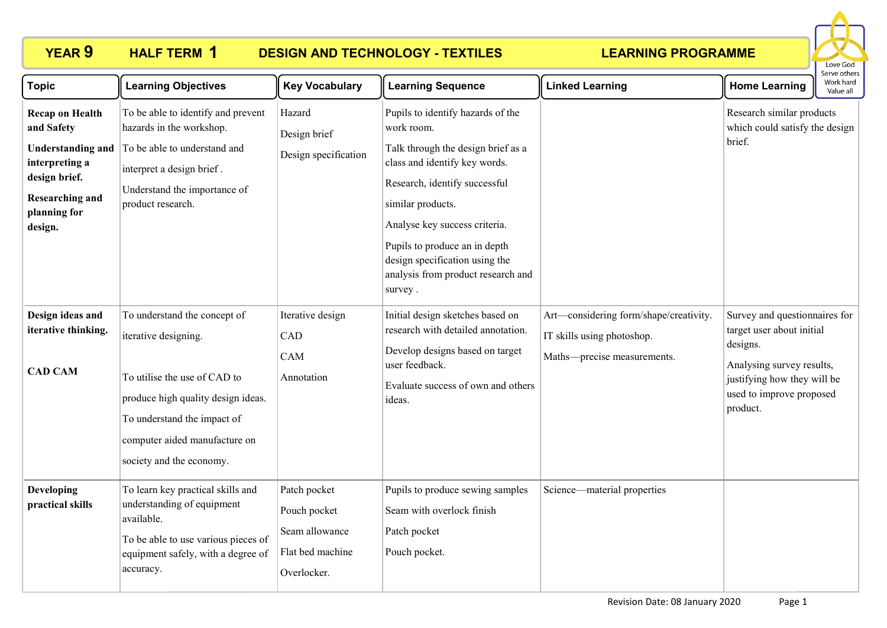## **HALF TERM 1**

## **YEAR 9 HALF TERM DESIGN AND TECHNOLOGY - TEXTILES**

### **LEARNING PROGRAMME**



| <b>Topic</b>                                                                                                                                             | <b>Learning Objectives</b>                                                                                                                                                                                             | <b>Key Vocabulary</b>                                                             | <b>Learning Sequence</b>                                                                                                                                                                                                                                                                                                          | <b>Linked Learning</b>                                                                              | <b>Home Learning</b>                                                                                                                                                       | Work hard<br>Value all |
|----------------------------------------------------------------------------------------------------------------------------------------------------------|------------------------------------------------------------------------------------------------------------------------------------------------------------------------------------------------------------------------|-----------------------------------------------------------------------------------|-----------------------------------------------------------------------------------------------------------------------------------------------------------------------------------------------------------------------------------------------------------------------------------------------------------------------------------|-----------------------------------------------------------------------------------------------------|----------------------------------------------------------------------------------------------------------------------------------------------------------------------------|------------------------|
| <b>Recap on Health</b><br>and Safety<br><b>Understanding and</b><br>interpreting a<br>design brief.<br><b>Researching and</b><br>planning for<br>design. | To be able to identify and prevent<br>hazards in the workshop.<br>To be able to understand and<br>interpret a design brief.<br>Understand the importance of<br>product research.                                       | Hazard<br>Design brief<br>Design specification                                    | Pupils to identify hazards of the<br>work room.<br>Talk through the design brief as a<br>class and identify key words.<br>Research, identify successful<br>similar products.<br>Analyse key success criteria.<br>Pupils to produce an in depth<br>design specification using the<br>analysis from product research and<br>survey. |                                                                                                     | Research similar products<br>which could satisfy the design<br>brief.                                                                                                      |                        |
| Design ideas and<br>iterative thinking.<br><b>CAD CAM</b>                                                                                                | To understand the concept of<br>iterative designing.<br>To utilise the use of CAD to<br>produce high quality design ideas.<br>To understand the impact of<br>computer aided manufacture on<br>society and the economy. | Iterative design<br>CAD<br>CAM<br>Annotation                                      | Initial design sketches based on<br>research with detailed annotation.<br>Develop designs based on target<br>user feedback.<br>Evaluate success of own and others<br>ideas.                                                                                                                                                       | Art—considering form/shape/creativity.<br>IT skills using photoshop.<br>Maths-precise measurements. | Survey and questionnaires for<br>target user about initial<br>designs.<br>Analysing survey results,<br>justifying how they will be<br>used to improve proposed<br>product. |                        |
| <b>Developing</b><br>practical skills                                                                                                                    | To learn key practical skills and<br>understanding of equipment<br>available.<br>To be able to use various pieces of<br>equipment safely, with a degree of<br>accuracy.                                                | Patch pocket<br>Pouch pocket<br>Seam allowance<br>Flat bed machine<br>Overlocker. | Pupils to produce sewing samples<br>Seam with overlock finish<br>Patch pocket<br>Pouch pocket.                                                                                                                                                                                                                                    | Science—material properties                                                                         |                                                                                                                                                                            |                        |